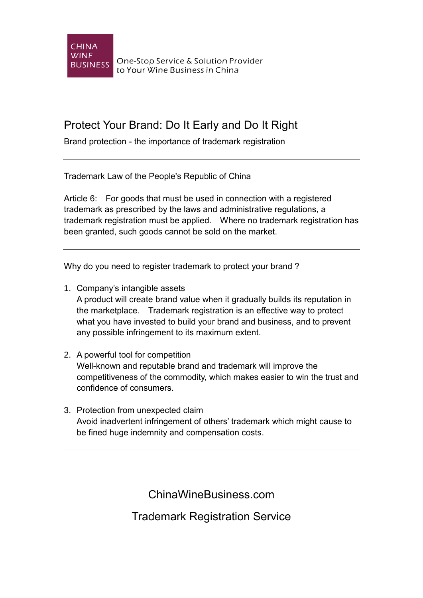

One-Stop Service & Solution Provider to Your Wine Business in China

## Protect Your Brand: Do It Early and Do It Right

Brand protection - the importance of trademark registration

Trademark Law of the People's Republic of China

Article 6: For goods that must be used in connection with a registered trademark as prescribed by the laws and administrative regulations, a trademark registration must be applied. Where no trademark registration has been granted, such goods cannot be sold on the market.

Why do you need to register trademark to protect your brand ?

- 1. Company's intangible assets A product will create brand value when it gradually builds its reputation in the marketplace. Trademark registration is an effective way to protect what you have invested to build your brand and business, and to prevent any possible infringement to its maximum extent.
- 2. A powerful tool for competition Well-known and reputable brand and trademark will improve the competitiveness of the commodity, which makes easier to win the trust and confidence of consumers.
- 3. Protection from unexpected claim Avoid inadvertent infringement of others' trademark which might cause to be fined huge indemnity and compensation costs.

ChinaWineBusiness.com

Trademark Registration Service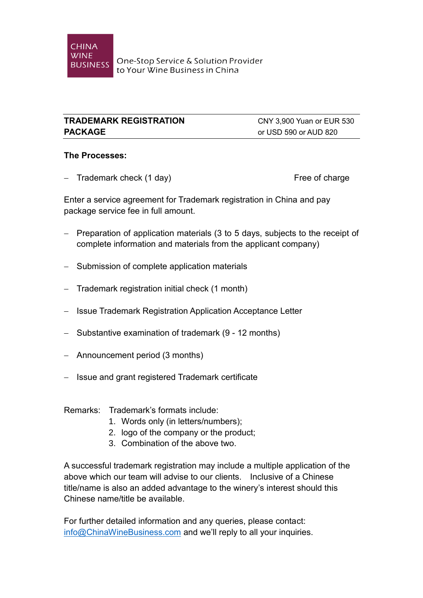## **TRADEMARK REGISTRATION** CNY 3,900 Yuan or EUR 530 **PACKAGE** or USD 590 or AUD 820

## **The Processes:**

- Trademark check (1 day) Free of charge

Enter a service agreement for Trademark registration in China and pay package service fee in full amount.

- $-$  Preparation of application materials (3 to 5 days, subjects to the receipt of complete information and materials from the applicant company)
- Submission of complete application materials
- $-$  Trademark registration initial check (1 month)
- Issue Trademark Registration Application Acceptance Letter
- Substantive examination of trademark (9 12 months)
- Announcement period (3 months)
- Issue and grant registered Trademark certificate

Remarks: Trademark's formats include:

- 1. Words only (in letters/numbers);
- 2. logo of the company or the product;
- 3. Combination of the above two.

A successful trademark registration may include a multiple application of the above which our team will advise to our clients. Inclusive of a Chinese title/name is also an added advantage to the winery's interest should this Chinese name/title be available.

For further detailed information and any queries, please contact: [info@ChinaWineBusiness.com](mailto:info@ChinaWineBusiness.com) and we'll reply to all your inquiries.